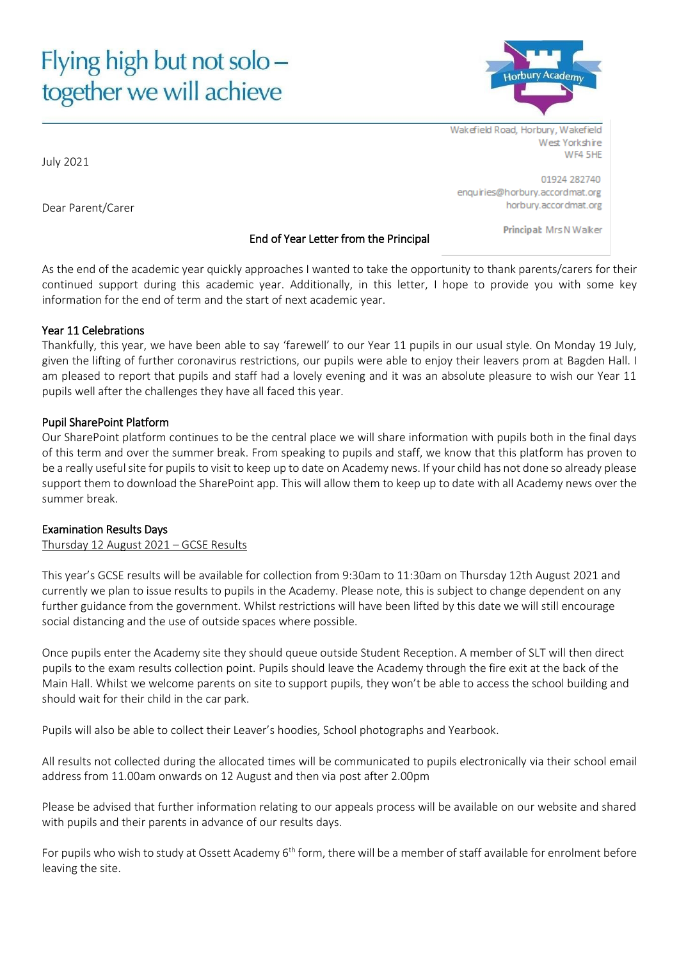# Flying high but not solo together we will achieve



Wakefield Road, Horbury, Wakefield West Yorkshire WF4 5HF

01924 282740 enquiries@horbury.accordmat.org horbury.accordmat.org

Principal: Mrs N Walker

# End of Year Letter from the Principal

As the end of the academic year quickly approaches I wanted to take the opportunity to thank parents/carers for their continued support during this academic year. Additionally, in this letter, I hope to provide you with some key information for the end of term and the start of next academic year.

#### Year 11 Celebrations

Dear Parent/Carer

Thankfully, this year, we have been able to say 'farewell' to our Year 11 pupils in our usual style. On Monday 19 July, given the lifting of further coronavirus restrictions, our pupils were able to enjoy their leavers prom at Bagden Hall. I am pleased to report that pupils and staff had a lovely evening and it was an absolute pleasure to wish our Year 11 pupils well after the challenges they have all faced this year.

# Pupil SharePoint Platform

Our SharePoint platform continues to be the central place we will share information with pupils both in the final days of this term and over the summer break. From speaking to pupils and staff, we know that this platform has proven to be a really useful site for pupils to visit to keep up to date on Academy news. If your child has not done so already please support them to download the SharePoint app. This will allow them to keep up to date with all Academy news over the summer break.

# Examination Results Days

Thursday 12 August 2021 – GCSE Results

This year's GCSE results will be available for collection from 9:30am to 11:30am on Thursday 12th August 2021 and currently we plan to issue results to pupils in the Academy. Please note, this is subject to change dependent on any further guidance from the government. Whilst restrictions will have been lifted by this date we will still encourage social distancing and the use of outside spaces where possible.

Once pupils enter the Academy site they should queue outside Student Reception. A member of SLT will then direct pupils to the exam results collection point. Pupils should leave the Academy through the fire exit at the back of the Main Hall. Whilst we welcome parents on site to support pupils, they won't be able to access the school building and should wait for their child in the car park.

Pupils will also be able to collect their Leaver's hoodies, School photographs and Yearbook.

All results not collected during the allocated times will be communicated to pupils electronically via their school email address from 11.00am onwards on 12 August and then via post after 2.00pm

Please be advised that further information relating to our appeals process will be available on our website and shared with pupils and their parents in advance of our results days.

For pupils who wish to study at Ossett Academy 6<sup>th</sup> form, there will be a member of staff available for enrolment before leaving the site.

July 2021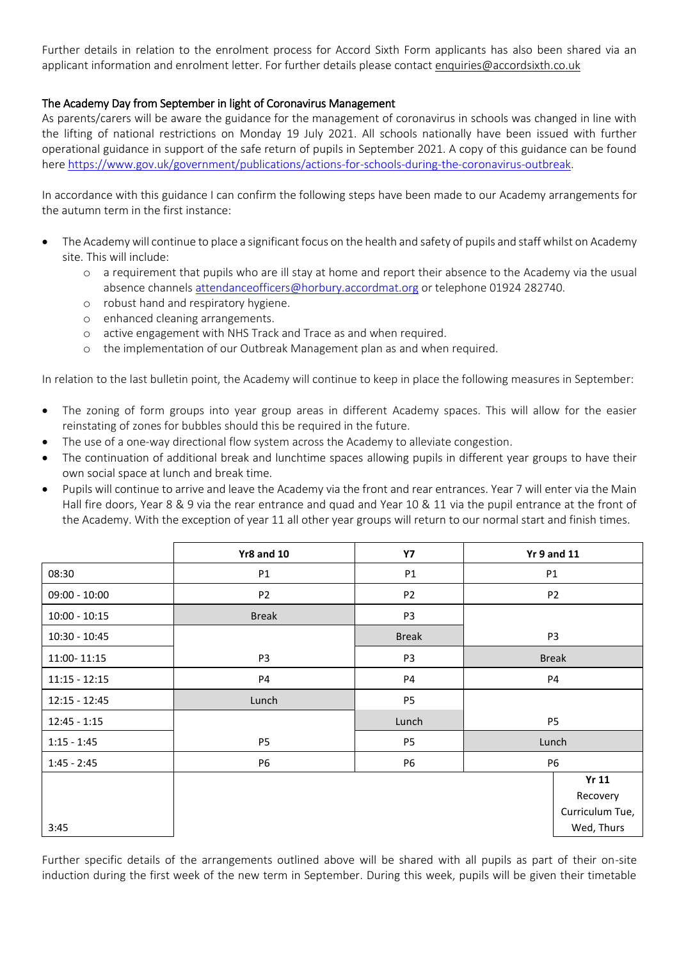Further details in relation to the enrolment process for Accord Sixth Form applicants has also been shared via an applicant information and enrolment letter. For further details please contac[t enquiries@accordsixth.co.uk](mailto:enquiries@accordsixth.co.uk)

# The Academy Day from September in light of Coronavirus Management

As parents/carers will be aware the guidance for the management of coronavirus in schools was changed in line with the lifting of national restrictions on Monday 19 July 2021. All schools nationally have been issued with further operational guidance in support of the safe return of pupils in September 2021. A copy of this guidance can be found here [https://www.gov.uk/government/publications/actions-for-schools-during-the-coronavirus-outbreak.](https://www.gov.uk/government/publications/actions-for-schools-during-the-coronavirus-outbreak)

In accordance with this guidance I can confirm the following steps have been made to our Academy arrangements for the autumn term in the first instance:

- The Academy will continue to place a significant focus on the health and safety of pupils and staff whilst on Academy site. This will include:
	- o a requirement that pupils who are ill stay at home and report their absence to the Academy via the usual absence channels [attendanceofficers@horbury.accordmat.org](mailto:attendanceofficers@horbury.accordmat.org) or telephone 01924 282740.
	- o robust hand and respiratory hygiene.
	- o enhanced cleaning arrangements.
	- o active engagement with NHS Track and Trace as and when required.
	- o the implementation of our Outbreak Management plan as and when required.

In relation to the last bulletin point, the Academy will continue to keep in place the following measures in September:

- The zoning of form groups into year group areas in different Academy spaces. This will allow for the easier reinstating of zones for bubbles should this be required in the future.
- The use of a one-way directional flow system across the Academy to alleviate congestion.
- The continuation of additional break and lunchtime spaces allowing pupils in different year groups to have their own social space at lunch and break time.
- Pupils will continue to arrive and leave the Academy via the front and rear entrances. Year 7 will enter via the Main Hall fire doors, Year 8 & 9 via the rear entrance and quad and Year 10 & 11 via the pupil entrance at the front of the Academy. With the exception of year 11 all other year groups will return to our normal start and finish times.

|                 | <b>Yr8 and 10</b> | <b>Y7</b>      |                | <b>Yr 9 and 11</b> |
|-----------------|-------------------|----------------|----------------|--------------------|
| 08:30           | P1                | P1             | P1             |                    |
| $09:00 - 10:00$ | P <sub>2</sub>    | P <sub>2</sub> | P <sub>2</sub> |                    |
| $10:00 - 10:15$ | <b>Break</b>      | P <sub>3</sub> |                |                    |
| $10:30 - 10:45$ |                   | <b>Break</b>   |                | P <sub>3</sub>     |
| 11:00-11:15     | P <sub>3</sub>    | P <sub>3</sub> | <b>Break</b>   |                    |
| $11:15 - 12:15$ | P4                | P4             | <b>P4</b>      |                    |
| $12:15 - 12:45$ | Lunch             | P <sub>5</sub> |                |                    |
| $12:45 - 1:15$  |                   | Lunch          |                | <b>P5</b>          |
| $1:15 - 1:45$   | P <sub>5</sub>    | P5             | Lunch          |                    |
| $1:45 - 2:45$   | <b>P6</b>         | <b>P6</b>      | <b>P6</b>      |                    |
|                 |                   |                |                | <b>Yr 11</b>       |
|                 |                   |                |                | Recovery           |
|                 |                   |                |                | Curriculum Tue,    |
| 3:45            |                   |                |                | Wed, Thurs         |

Further specific details of the arrangements outlined above will be shared with all pupils as part of their on-site induction during the first week of the new term in September. During this week, pupils will be given their timetable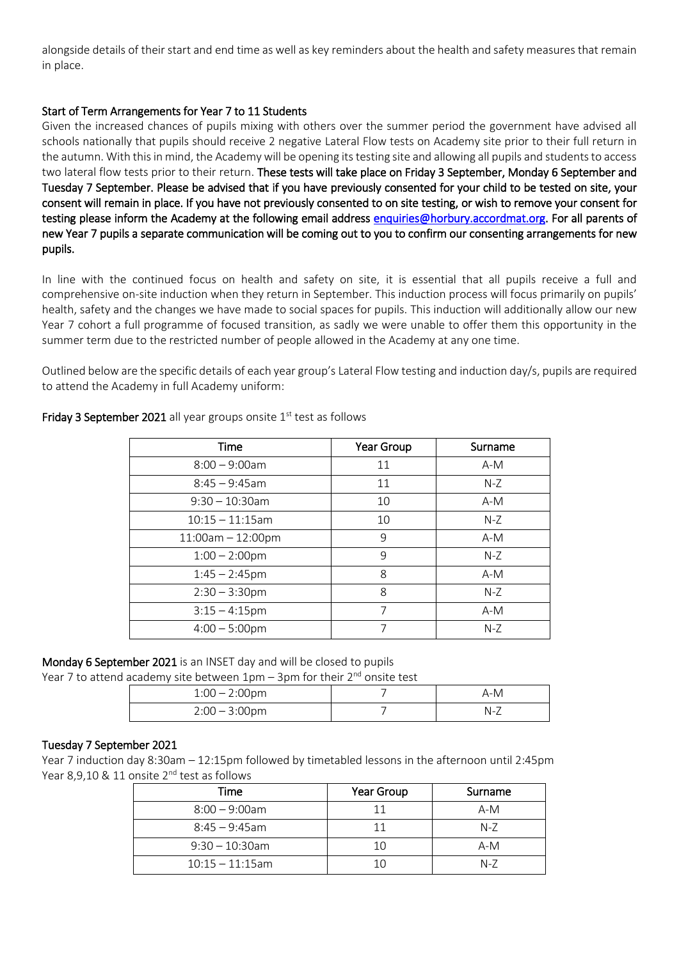alongside details of their start and end time as well as key reminders about the health and safety measures that remain in place.

# Start of Term Arrangements for Year 7 to 11 Students

Given the increased chances of pupils mixing with others over the summer period the government have advised all schools nationally that pupils should receive 2 negative Lateral Flow tests on Academy site prior to their full return in the autumn. With this in mind, the Academy will be opening its testing site and allowing all pupils and students to access two lateral flow tests prior to their return. These tests will take place on Friday 3 September, Monday 6 September and Tuesday 7 September. Please be advised that if you have previously consented for your child to be tested on site, your consent will remain in place. If you have not previously consented to on site testing, or wish to remove your consent for testing please inform the Academy at the following email address [enquiries@horbury.accordmat.org.](mailto:enquiries@horbury.accordmat.org) For all parents of new Year 7 pupils a separate communication will be coming out to you to confirm our consenting arrangements for new pupils.

In line with the continued focus on health and safety on site, it is essential that all pupils receive a full and comprehensive on-site induction when they return in September. This induction process will focus primarily on pupils' health, safety and the changes we have made to social spaces for pupils. This induction will additionally allow our new Year 7 cohort a full programme of focused transition, as sadly we were unable to offer them this opportunity in the summer term due to the restricted number of people allowed in the Academy at any one time.

Outlined below are the specific details of each year group's Lateral Flow testing and induction day/s, pupils are required to attend the Academy in full Academy uniform:

| Time                | Year Group | Surname |
|---------------------|------------|---------|
| $8:00 - 9:00$ am    | 11         | $A-M$   |
| $8:45 - 9:45$ am    | 11         | $N-Z$   |
| $9:30 - 10:30$ am   | 10         | $A-M$   |
| $10:15 - 11:15$ am  | 10         | $N-Z$   |
| $11:00am - 12:00pm$ | 9          | $A-M$   |
| $1:00 - 2:00$ pm    | 9          | $N-Z$   |
| $1:45 - 2:45$ pm    | 8          | $A-M$   |
| $2:30 - 3:30$ pm    | 8          | $N-Z$   |
| $3:15 - 4:15$ pm    | 7          | $A-M$   |
| $4:00 - 5:00$ pm    | 7          | $N-Z$   |

# Friday 3 September 2021 all year groups onsite  $1<sup>st</sup>$  test as follows

Monday 6 September 2021 is an INSET day and will be closed to pupils

Year 7 to attend academy site between  $1pm - 3pm$  for their  $2<sup>nd</sup>$  onsite test

| $1:00 - 2:00$ pm | A-M         |
|------------------|-------------|
| $2:00 - 3:00$ pm | $N_{\rm -}$ |

# Tuesday 7 September 2021

Year 7 induction day 8:30am – 12:15pm followed by timetabled lessons in the afternoon until 2:45pm Year 8,9,10 & 11 onsite 2<sup>nd</sup> test as follows

| Time               | Year Group | Surname |
|--------------------|------------|---------|
| $8:00 - 9:00$ am   | 11         | $A-M$   |
| $8:45 - 9:45$ am   |            | $N-7$   |
| $9:30 - 10:30$ am  | 10         | $A-M$   |
| $10:15 - 11:15$ am |            | $N-7$   |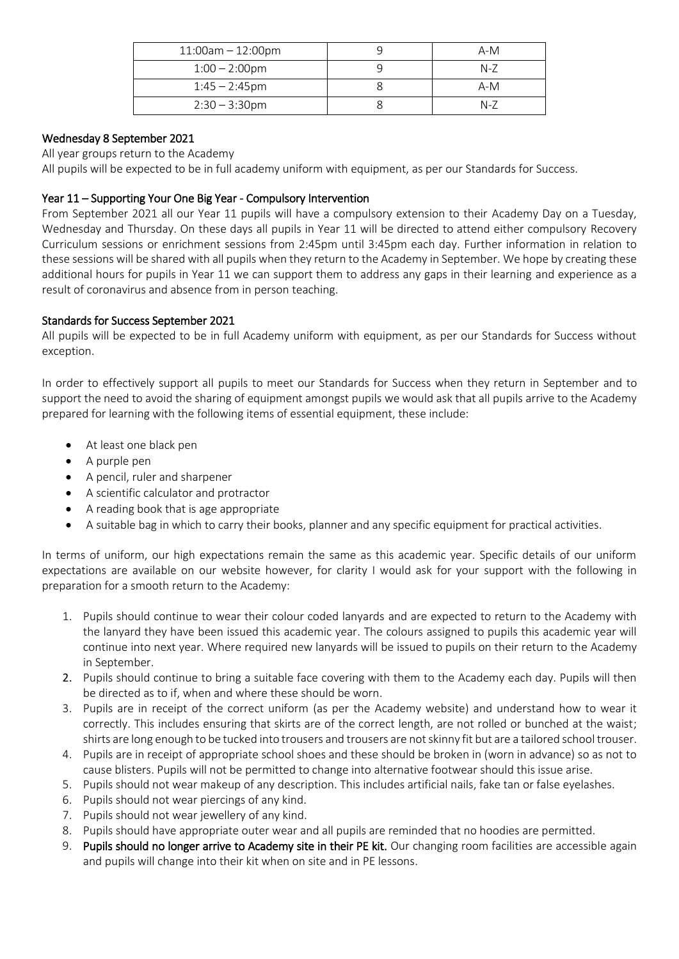| $11:00am - 12:00pm$ | A-M   |
|---------------------|-------|
| $1:00 - 2:00$ pm    | $N-7$ |
| $1:45 - 2:45$ pm    | $A-M$ |
| $2:30 - 3:30$ pm    | $N-Z$ |

# Wednesday 8 September 2021

All year groups return to the Academy

All pupils will be expected to be in full academy uniform with equipment, as per our Standards for Success.

# Year 11 – Supporting Your One Big Year - Compulsory Intervention

From September 2021 all our Year 11 pupils will have a compulsory extension to their Academy Day on a Tuesday, Wednesday and Thursday. On these days all pupils in Year 11 will be directed to attend either compulsory Recovery Curriculum sessions or enrichment sessions from 2:45pm until 3:45pm each day. Further information in relation to these sessions will be shared with all pupils when they return to the Academy in September. We hope by creating these additional hours for pupils in Year 11 we can support them to address any gaps in their learning and experience as a result of coronavirus and absence from in person teaching.

# Standards for Success September 2021

All pupils will be expected to be in full Academy uniform with equipment, as per our Standards for Success without exception.

In order to effectively support all pupils to meet our Standards for Success when they return in September and to support the need to avoid the sharing of equipment amongst pupils we would ask that all pupils arrive to the Academy prepared for learning with the following items of essential equipment, these include:

- At least one black pen
- A purple pen
- A pencil, ruler and sharpener
- A scientific calculator and protractor
- A reading book that is age appropriate
- A suitable bag in which to carry their books, planner and any specific equipment for practical activities.

In terms of uniform, our high expectations remain the same as this academic year. Specific details of our uniform expectations are available on our website however, for clarity I would ask for your support with the following in preparation for a smooth return to the Academy:

- 1. Pupils should continue to wear their colour coded lanyards and are expected to return to the Academy with the lanyard they have been issued this academic year. The colours assigned to pupils this academic year will continue into next year. Where required new lanyards will be issued to pupils on their return to the Academy in September.
- 2. Pupils should continue to bring a suitable face covering with them to the Academy each day. Pupils will then be directed as to if, when and where these should be worn.
- 3. Pupils are in receipt of the correct uniform (as per the Academy website) and understand how to wear it correctly. This includes ensuring that skirts are of the correct length, are not rolled or bunched at the waist; shirts are long enough to be tucked into trousers and trousers are not skinny fit but are a tailored school trouser.
- 4. Pupils are in receipt of appropriate school shoes and these should be broken in (worn in advance) so as not to cause blisters. Pupils will not be permitted to change into alternative footwear should this issue arise.
- 5. Pupils should not wear makeup of any description. This includes artificial nails, fake tan or false eyelashes.
- 6. Pupils should not wear piercings of any kind.
- 7. Pupils should not wear jewellery of any kind.
- 8. Pupils should have appropriate outer wear and all pupils are reminded that no hoodies are permitted.
- 9. Pupils should no longer arrive to Academy site in their PE kit. Our changing room facilities are accessible again and pupils will change into their kit when on site and in PE lessons.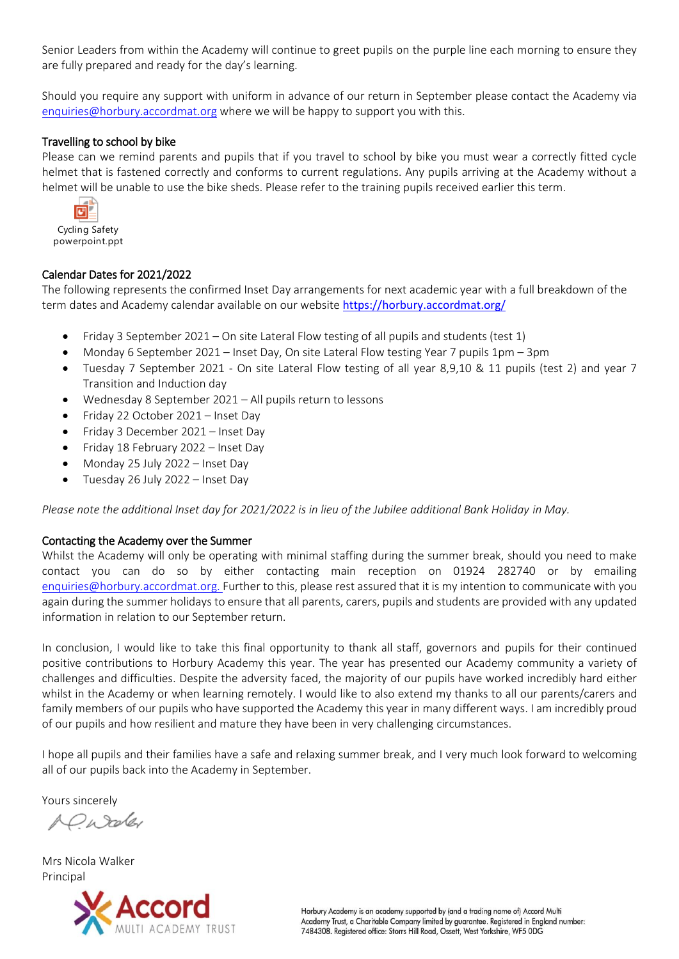Senior Leaders from within the Academy will continue to greet pupils on the purple line each morning to ensure they are fully prepared and ready for the day's learning.

Should you require any support with uniform in advance of our return in September please contact the Academy via [enquiries@horbury.accordmat.org](mailto:enquiries@horbury.accordmat.org) where we will be happy to support you with this.

#### Travelling to school by bike

Please can we remind parents and pupils that if you travel to school by bike you must wear a correctly fitted cycle helmet that is fastened correctly and conforms to current regulations. Any pupils arriving at the Academy without a helmet will be unable to use the bike sheds. Please refer to the training pupils received earlier this term.



Cycling Safety powerpoint.ppt

#### Calendar Dates for 2021/2022

The following represents the confirmed Inset Day arrangements for next academic year with a full breakdown of the term dates and Academy calendar available on our website <https://horbury.accordmat.org/>

- Friday 3 September 2021 On site Lateral Flow testing of all pupils and students (test 1)
- Monday 6 September 2021 Inset Day, On site Lateral Flow testing Year 7 pupils 1pm 3pm
- Tuesday 7 September 2021 On site Lateral Flow testing of all year 8,9,10 & 11 pupils (test 2) and year 7 Transition and Induction day
- Wednesday 8 September 2021 All pupils return to lessons
- Friday 22 October 2021 Inset Day
- Friday 3 December 2021 Inset Day
- Friday 18 February 2022 Inset Day
- Monday 25 July 2022 Inset Day
- Tuesday 26 July 2022 Inset Day

*Please note the additional Inset day for 2021/2022 is in lieu of the Jubilee additional Bank Holiday in May.*

#### Contacting the Academy over the Summer

Whilst the Academy will only be operating with minimal staffing during the summer break, should you need to make contact you can do so by either contacting main reception on 01924 282740 or by emailing [enquiries@horbury.accordmat.org.](mailto:enquiries@horbury.accordmat.org) Further to this, please rest assured that it is my intention to communicate with you again during the summer holidays to ensure that all parents, carers, pupils and students are provided with any updated information in relation to our September return.

In conclusion, I would like to take this final opportunity to thank all staff, governors and pupils for their continued positive contributions to Horbury Academy this year. The year has presented our Academy community a variety of challenges and difficulties. Despite the adversity faced, the majority of our pupils have worked incredibly hard either whilst in the Academy or when learning remotely. I would like to also extend my thanks to all our parents/carers and family members of our pupils who have supported the Academy this year in many different ways. I am incredibly proud of our pupils and how resilient and mature they have been in very challenging circumstances.

I hope all pupils and their families have a safe and relaxing summer break, and I very much look forward to welcoming all of our pupils back into the Academy in September.

Yours sincerely

A Chroky

Mrs Nicola Walker Principal